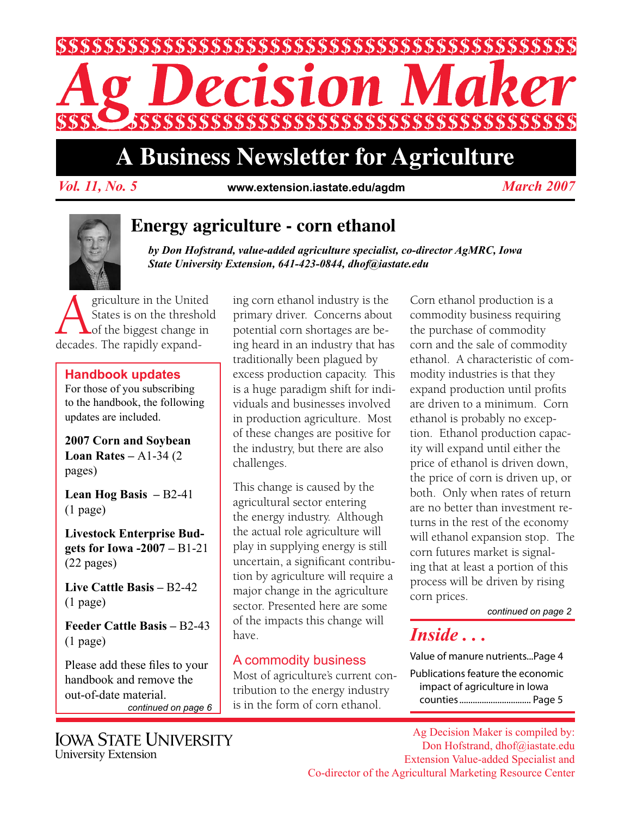

# **A Business Newsletter for Agriculture**

*Vol. 11, No. 5 March 2007* **www.extension.iastate.edu/agdm**



### **Energy agriculture - corn ethanol**

*by Don Hofstrand, value-added agriculture specialist, co-director AgMRC, Iowa State University Extension, 641-423-0844, dhof@iastate.edu*

**Agriculture in the United<br>States is on the threshold<br>decades The rapidly expand-**States is on the threshold of the biggest change in decades. The rapidly expand-

#### **Handbook updates**

For those of you subscribing to the handbook, the following updates are included.

**2007 Corn and Soybean Loan Rates –** A1-34 (2 pages)

**Lean Hog Basis –** B2-41 (1 page)

**Livestock Enterprise Budgets for Iowa -2007 –** B1-21 (22 pages)

**Live Cattle Basis –** B2-42 (1 page)

**Feeder Cattle Basis –** B2-43 (1 page)

Please add these files to your handbook and remove the out-of-date material. *continued on page 6* ing corn ethanol industry is the primary driver. Concerns about potential corn shortages are being heard in an industry that has traditionally been plagued by excess production capacity. This is a huge paradigm shift for individuals and businesses involved in production agriculture. Most of these changes are positive for the industry, but there are also challenges.

This change is caused by the agricultural sector entering the energy industry. Although the actual role agriculture will play in supplying energy is still uncertain, a significant contribution by agriculture will require a major change in the agriculture sector. Presented here are some of the impacts this change will have.

### A commodity business

Most of agriculture's current contribution to the energy industry is in the form of corn ethanol.

Corn ethanol production is a commodity business requiring the purchase of commodity corn and the sale of commodity ethanol. A characteristic of commodity industries is that they expand production until profits are driven to a minimum. Corn ethanol is probably no exception. Ethanol production capacity will expand until either the price of ethanol is driven down, the price of corn is driven up, or both. Only when rates of return are no better than investment returns in the rest of the economy will ethanol expansion stop. The corn futures market is signaling that at least a portion of this process will be driven by rising corn prices.

*continued on page 2*

### *Inside . . .*

Value of manure nutrients...Page 4 Publications feature the economic impact of agriculture in Iowa counties................................ Page 5

**IOWA STATE UNIVERSITY** University Extension

Ag Decision Maker is compiled by: Don Hofstrand, dhof@iastate.edu Extension Value-added Specialist and Co-director of the Agricultural Marketing Resource Center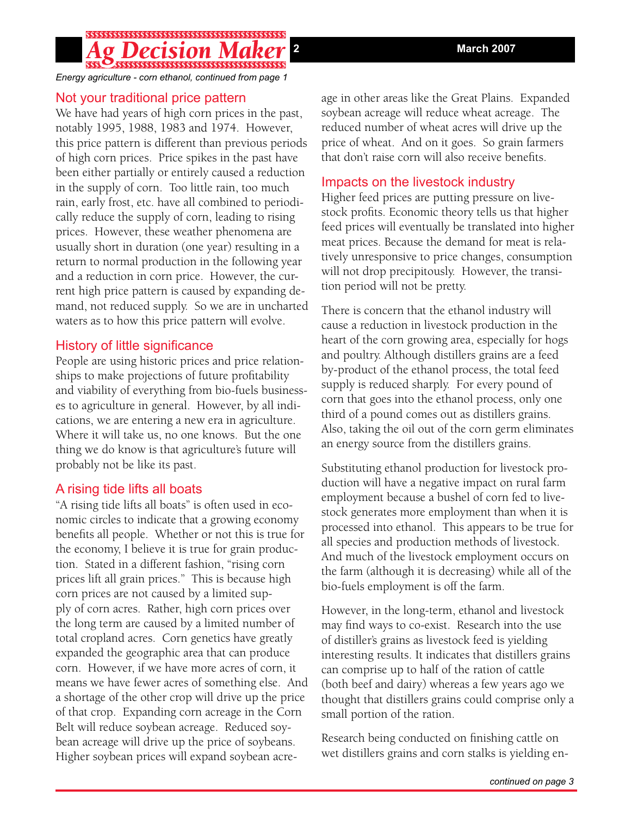## 

*Energy agriculture - corn ethanol, continued from page 1*

#### Not your traditional price pattern

We have had years of high corn prices in the past, notably 1995, 1988, 1983 and 1974. However, this price pattern is different than previous periods of high corn prices. Price spikes in the past have been either partially or entirely caused a reduction in the supply of corn. Too little rain, too much rain, early frost, etc. have all combined to periodically reduce the supply of corn, leading to rising prices. However, these weather phenomena are usually short in duration (one year) resulting in a return to normal production in the following year and a reduction in corn price. However, the current high price pattern is caused by expanding demand, not reduced supply. So we are in uncharted waters as to how this price pattern will evolve.

#### History of little significance

People are using historic prices and price relationships to make projections of future profitability and viability of everything from bio-fuels businesses to agriculture in general. However, by all indications, we are entering a new era in agriculture. Where it will take us, no one knows. But the one thing we do know is that agriculture's future will probably not be like its past.

#### A rising tide lifts all boats

"A rising tide lifts all boats" is often used in economic circles to indicate that a growing economy benefits all people. Whether or not this is true for the economy, I believe it is true for grain production. Stated in a different fashion, "rising corn prices lift all grain prices." This is because high corn prices are not caused by a limited supply of corn acres. Rather, high corn prices over the long term are caused by a limited number of total cropland acres. Corn genetics have greatly expanded the geographic area that can produce corn. However, if we have more acres of corn, it means we have fewer acres of something else. And a shortage of the other crop will drive up the price of that crop. Expanding corn acreage in the Corn Belt will reduce soybean acreage. Reduced soybean acreage will drive up the price of soybeans. Higher soybean prices will expand soybean acreage in other areas like the Great Plains. Expanded soybean acreage will reduce wheat acreage. The reduced number of wheat acres will drive up the price of wheat. And on it goes. So grain farmers that don't raise corn will also receive benefits.

### Impacts on the livestock industry

Higher feed prices are putting pressure on livestock profits. Economic theory tells us that higher feed prices will eventually be translated into higher meat prices. Because the demand for meat is relatively unresponsive to price changes, consumption will not drop precipitously. However, the transition period will not be pretty.

There is concern that the ethanol industry will cause a reduction in livestock production in the heart of the corn growing area, especially for hogs and poultry. Although distillers grains are a feed by-product of the ethanol process, the total feed supply is reduced sharply. For every pound of corn that goes into the ethanol process, only one third of a pound comes out as distillers grains. Also, taking the oil out of the corn germ eliminates an energy source from the distillers grains.

Substituting ethanol production for livestock production will have a negative impact on rural farm employment because a bushel of corn fed to livestock generates more employment than when it is processed into ethanol. This appears to be true for all species and production methods of livestock. And much of the livestock employment occurs on the farm (although it is decreasing) while all of the bio-fuels employment is off the farm.

However, in the long-term, ethanol and livestock may find ways to co-exist. Research into the use of distiller's grains as livestock feed is yielding interesting results. It indicates that distillers grains can comprise up to half of the ration of cattle (both beef and dairy) whereas a few years ago we thought that distillers grains could comprise only a small portion of the ration.

Research being conducted on finishing cattle on wet distillers grains and corn stalks is yielding en-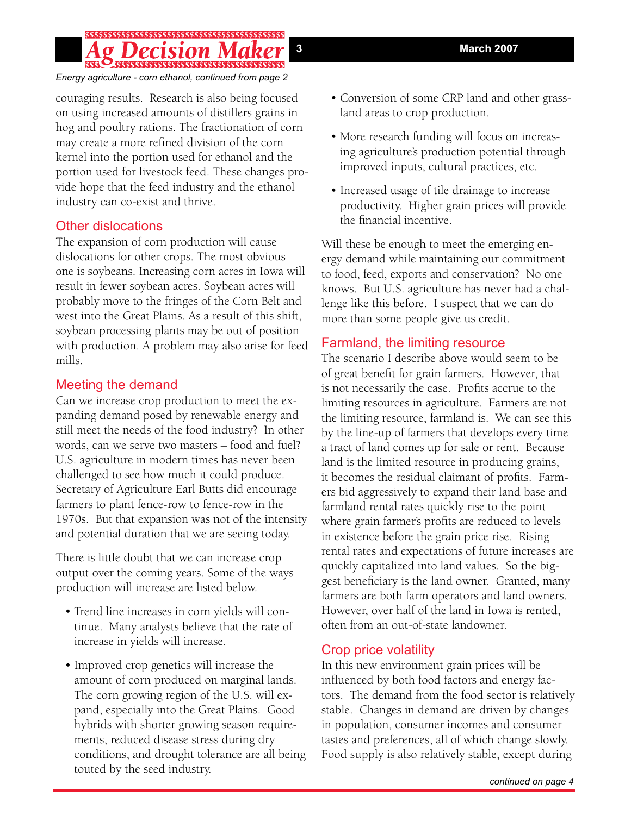## 

#### *Energy agriculture - corn ethanol, continued from page 2*

couraging results. Research is also being focused on using increased amounts of distillers grains in hog and poultry rations. The fractionation of corn may create a more refined division of the corn kernel into the portion used for ethanol and the portion used for livestock feed. These changes provide hope that the feed industry and the ethanol industry can co-exist and thrive.

#### Other dislocations

The expansion of corn production will cause dislocations for other crops. The most obvious one is soybeans. Increasing corn acres in Iowa will result in fewer soybean acres. Soybean acres will probably move to the fringes of the Corn Belt and west into the Great Plains. As a result of this shift, soybean processing plants may be out of position with production. A problem may also arise for feed mills.

### Meeting the demand

Can we increase crop production to meet the expanding demand posed by renewable energy and still meet the needs of the food industry? In other words, can we serve two masters – food and fuel? U.S. agriculture in modern times has never been challenged to see how much it could produce. Secretary of Agriculture Earl Butts did encourage farmers to plant fence-row to fence-row in the 1970s. But that expansion was not of the intensity and potential duration that we are seeing today.

There is little doubt that we can increase crop output over the coming years. Some of the ways production will increase are listed below.

- Trend line increases in corn yields will continue. Many analysts believe that the rate of increase in yields will increase.
- Improved crop genetics will increase the amount of corn produced on marginal lands. The corn growing region of the U.S. will expand, especially into the Great Plains. Good hybrids with shorter growing season requirements, reduced disease stress during dry conditions, and drought tolerance are all being touted by the seed industry.
- Conversion of some CRP land and other grassland areas to crop production.
- More research funding will focus on increasing agriculture's production potential through improved inputs, cultural practices, etc.
- Increased usage of tile drainage to increase productivity. Higher grain prices will provide the financial incentive.

Will these be enough to meet the emerging energy demand while maintaining our commitment to food, feed, exports and conservation? No one knows. But U.S. agriculture has never had a challenge like this before. I suspect that we can do more than some people give us credit.

### Farmland, the limiting resource

The scenario I describe above would seem to be of great benefit for grain farmers. However, that is not necessarily the case. Profits accrue to the limiting resources in agriculture. Farmers are not the limiting resource, farmland is. We can see this by the line-up of farmers that develops every time a tract of land comes up for sale or rent. Because land is the limited resource in producing grains, it becomes the residual claimant of profits. Farmers bid aggressively to expand their land base and farmland rental rates quickly rise to the point where grain farmer's profits are reduced to levels in existence before the grain price rise. Rising rental rates and expectations of future increases are quickly capitalized into land values. So the biggest beneficiary is the land owner. Granted, many farmers are both farm operators and land owners. However, over half of the land in Iowa is rented, often from an out-of-state landowner.

### Crop price volatility

In this new environment grain prices will be influenced by both food factors and energy factors. The demand from the food sector is relatively stable. Changes in demand are driven by changes in population, consumer incomes and consumer tastes and preferences, all of which change slowly. Food supply is also relatively stable, except during